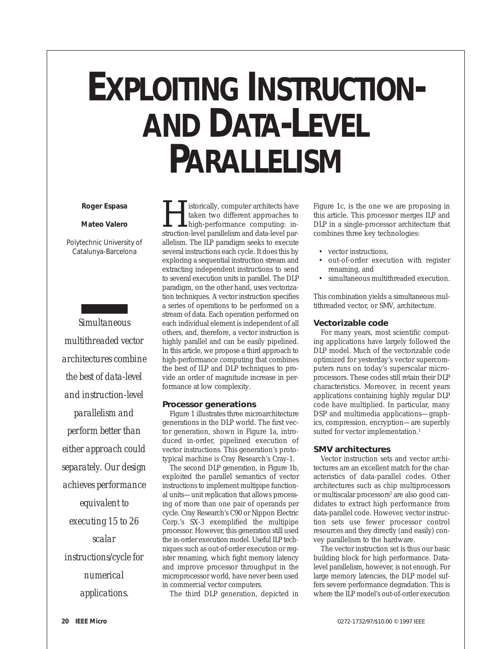# **EXPLOITING INSTRUCTION- AND DATA-LEVEL PARALLELISM**

#### *Roger Espasa*

#### *Mateo Valero*

*Polytechnic University of Catalunya-Barcelona* 

*Simultaneous multithreaded vector architectures combine the best of data-level and instruction-level parallelism and perform better than either approach could separately. Our design achieves performance equivalent to executing 15 to 26 scalar instructions/cycle for numerical applications.*

 $\begin{tabular}{|l|l|} \hline \textbf{I}^\textbf{is} \textbf{torically, computer architectures have} \textbf{taken two different approaches to high-performance computing: instruction-level parallelism and data-level parameters.} \end{tabular}$ taken two different approaches to high-performance computing: inallelism. The ILP paradigm seeks to execute several instructions each cycle. It does this by exploring a sequential instruction stream and extracting independent instructions to send to several execution units in parallel. The DLP paradigm, on the other hand, uses vectorization techniques. A vector instruction specifies a series of operations to be performed on a stream of data. Each operation performed on each individual element is independent of all others, and, therefore, a vector instruction is highly parallel and can be easily pipelined. In this article, we propose a third approach to high-performance computing that combines the best of ILP and DLP techniques to provide an order of magnitude increase in performance at low complexity.

## **Processor generations**

Figure 1 illustrates three microarchitecture generations in the DLP world. The first vector generation, shown in Figure 1a, introduced in-order, pipelined execution of vector instructions. This generation's prototypical machine is Cray Research's Cray-1.

The second DLP generation, in Figure 1b, exploited the parallel semantics of vector instructions to implement multipipe functional units—unit replication that allows processing of more than one pair of operands per cycle. Cray Research's C90 or Nippon Electric Corp.'s SX-3 exemplified the multipipe processor. However, this generation still used the in-order execution model. Useful ILP techniques such as out-of-order execution or register renaming, which fight memory latency and improve processor throughput in the microprocessor world, have never been used in commercial vector computers.

The third DLP generation, depicted in

Figure 1c, is the one we are proposing in this article. This processor merges ILP and DLP in a single-processor architecture that combines three key technologies:

- vector instructions,
- out-of-order execution with register renaming, and
- simultaneous multithreaded execution.

This combination yields a simultaneous multithreaded vector, or SMV, architecture.

## **Vectorizable code**

For many years, most scientific computing applications have largely followed the DLP model. Much of the vectorizable code optimized for yesterday's vector supercomputers runs on today's superscalar microprocessors. These codes still retain their DLP characteristics. Moreover, in recent years applications containing highly regular DLP code have multiplied. In particular, many DSP and multimedia applications—graphics, compression, encryption—are superbly suited for vector implementation.<sup>1</sup>

#### **SMV architectures**

Vector instruction sets and vector architectures are an excellent match for the characteristics of data-parallel codes. Other architectures such as chip multiprocessors or multiscalar processors<sup>2</sup> are also good candidates to extract high performance from data-parallel code. However, vector instruction sets use fewer processor control resources and they directly (and easily) convey parallelism to the hardware.

The vector instruction set is thus our basic building block for high performance. Datalevel parallelism, however, is not enough. For large memory latencies, the DLP model suffers severe performance degradation. This is where the ILP model's out-of-order execution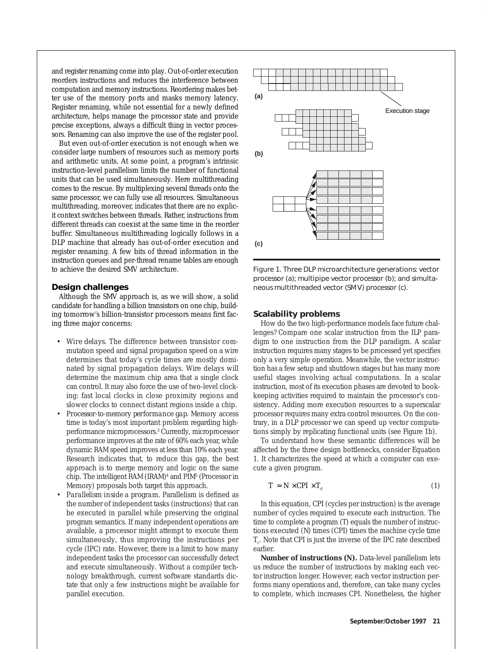and register renaming come into play. Out-of-order execution reorders instructions and reduces the interference between computation and memory instructions. Reordering makes better use of the memory ports and masks memory latency. Register renaming, while not essential for a newly defined architecture, helps manage the processor state and provide precise exceptions, always a difficult thing in vector processors. Renaming can also improve the use of the register pool.

But even out-of-order execution is not enough when we consider large numbers of resources such as memory ports and arithmetic units. At some point, a program's intrinsic instruction-level parallelism limits the number of functional units that can be used simultaneously. Here multithreading comes to the rescue. By multiplexing several threads onto the same processor, we can fully use all resources. Simultaneous multithreading, moreover, indicates that there are no explicit context switches between threads. Rather, instructions from different threads can coexist at the same time in the reorder buffer. Simultaneous multithreading logically follows in a DLP machine that already has out-of-order execution and register renaming. A few bits of thread information in the instruction queues and per-thread rename tables are enough to achieve the desired SMV architecture.

#### **Design challenges**

Although the SMV approach is, as we will show, a solid candidate for handling a billion transistors on one chip, building tomorrow's billion-transistor processors means first facing three major concerns:

- *Wire delays.* The difference between transistor commutation speed and signal propagation speed on a wire determines that today's cycle times are mostly dominated by signal propagation delays. Wire delays will determine the maximum chip area that a single clock can control. It may also force the use of two-level clocking: fast local clocks in close proximity regions and slower clocks to connect distant regions inside a chip.
- *Processor-to-memory performance gap.* Memory access time is today's most important problem regarding highperformance microprocessors.3 Currently, microprocessor performance improves at the rate of 60% each year, while dynamic RAM speed improves at less than 10% each year. Research indicates that, to reduce this gap, the best approach is to merge memory and logic on the same chip. The intelligent RAM (IRAM)<sup>4</sup> and PIM<sup>5</sup> (Processor in Memory) proposals both target this approach.
- *Parallelism inside a program.* Parallelism is defined as the number of independent tasks (instructions) that can be executed in parallel while preserving the original program semantics. If many independent operations are available, a processor might attempt to execute them simultaneously, thus improving the instructions per cycle (IPC) rate. However, there is a limit to how many independent tasks the processor can successfully detect and execute simultaneously. Without a compiler technology breakthrough, current software standards dictate that only a few instructions might be available for parallel execution.



Figure 1. Three DLP microarchitecture generations: vector processor (a); multipipe vector processor (b); and simultaneous multithreaded vector (SMV) processor (c).

## **Scalability problems**

How do the two high-performance models face future challenges? Compare one scalar instruction from the ILP paradigm to one instruction from the DLP paradigm. A scalar instruction requires many stages to be processed yet specifies only a very simple operation. Meanwhile, the vector instruction has a few setup and shutdown stages but has many more useful stages involving actual computations. In a scalar instruction, most of its execution phases are devoted to bookkeeping activities required to maintain the processor's consistency. Adding more execution resources to a superscalar processor requires many extra control resources. On the contrary, in a DLP processor we can speed up vector computations simply by replicating functional units (see Figure 1b).

To understand how these semantic differences will be affected by the three design bottlenecks, consider Equation 1. It characterizes the speed at which a computer can execute a given program.

$$
T = N \times \mathit{CPI} \times T_c \tag{1}
$$

In this equation, *CPI* (cycles per instruction) is the average number of cycles required to execute each instruction. The time to complete a program (*T*) equals the number of instructions executed (*N*) times (*CPI*) times the machine cycle time *Tc*. Note that CPI is just the inverse of the IPC rate described earlier.

**Number of instructions (***N***).** Data-level parallelism lets us reduce the number of instructions by making each vector instruction longer. However, each vector instruction performs many operations and, therefore, can take many cycles to complete, which increases CPI. Nonetheless, the higher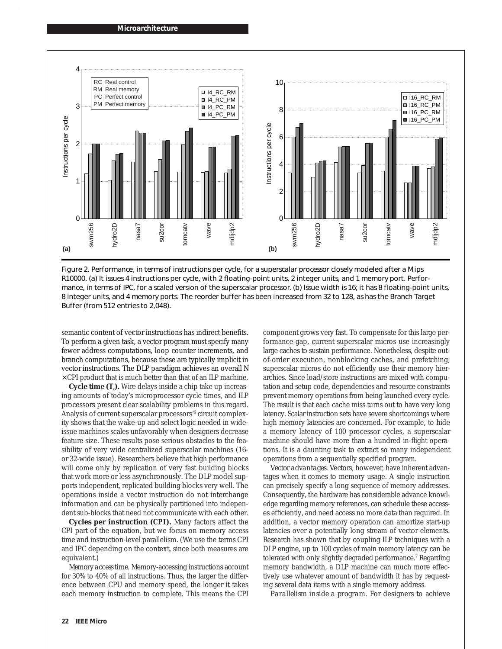

Figure 2. Performance, in terms of instructions per cycle, for a superscalar processor closely modeled after a Mips R10000. (a) It issues 4 instructions per cycle, with 2 floating-point units, 2 integer units, and 1 memory port. Performance, in terms of IPC, for a scaled version of the superscalar processor. (b) Issue width is 16; it has 8 floating-point units, 8 integer units, and 4 memory ports. The reorder buffer has been increased from 32 to 128, as has the Branch Target Buffer (from 512 entries to 2,048).

semantic content of vector instructions has indirect benefits. To perform a given task, a vector program must specify many fewer address computations, loop counter increments, and branch computations, because these are typically implicit in vector instructions. The DLP paradigm achieves an overall *N* × *CPI* product that is much better than that of an ILP machine.

**Cycle time (***T***<sub>c</sub>).** Wire delays inside a chip take up increasing amounts of today's microprocessor cycle times, and ILP processors present clear scalability problems in this regard. Analysis of current superscalar processors'6 circuit complexity shows that the wake-up and select logic needed in wideissue machines scales unfavorably when designers decrease feature size. These results pose serious obstacles to the feasibility of very wide centralized superscalar machines (16 or 32-wide issue). Researchers believe that high performance will come only by replication of very fast building blocks that work more or less asynchronously. The DLP model supports independent, replicated building blocks very well. The operations inside a vector instruction do not interchange information and can be physically partitioned into independent sub-blocks that need not communicate with each other.

**Cycles per instruction (***CPI***).** Many factors affect the CPI part of the equation, but we focus on memory access time and instruction-level parallelism. (We use the terms *CPI* and *IPC* depending on the context, since both measures are equivalent.)

*Memory access time.* Memory-accessing instructions account for 30% to 40% of all instructions. Thus, the larger the difference between CPU and memory speed, the longer it takes each memory instruction to complete. This means the CPI component grows very fast. To compensate for this large performance gap, current superscalar micros use increasingly large caches to sustain performance. Nonetheless, despite outof-order execution, nonblocking caches, and prefetching, superscalar micros do not efficiently use their memory hierarchies. Since load/store instructions are mixed with computation and setup code, dependencies and resource constraints prevent memory operations from being launched every cycle. The result is that each cache miss turns out to have very long latency. Scalar instruction sets have severe shortcomings where high memory latencies are concerned. For example, to hide a memory latency of 100 processor cycles, a superscalar machine should have more than a hundred in-flight operations. It is a daunting task to extract so many independent operations from a sequentially specified program.

*Vector advantages.* Vectors, however, have inherent advantages when it comes to memory usage. A single instruction can precisely specify a long sequence of memory addresses. Consequently, the hardware has considerable advance knowledge regarding memory references, can schedule these accesses efficiently, and need access no more data than required. In addition, a vector memory operation can amortize start-up latencies over a potentially long stream of vector elements. Research has shown that by coupling ILP techniques with a DLP engine, up to 100 cycles of main memory latency can be tolerated with only slightly degraded performance.<sup>7</sup> Regarding memory bandwidth, a DLP machine can much more effectively use whatever amount of bandwidth it has by requesting several data items with a single memory address.

*Parallelism inside a program*. For designers to achieve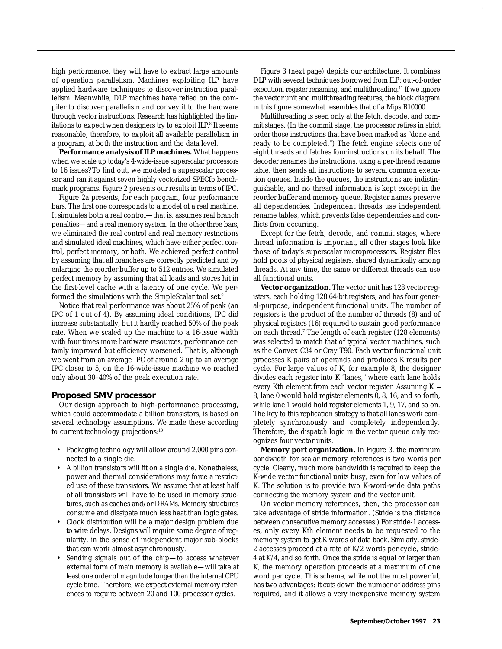high performance, they will have to extract large amounts of operation parallelism. Machines exploiting ILP have applied hardware techniques to discover instruction parallelism. Meanwhile, DLP machines have relied on the compiler to discover parallelism and convey it to the hardware through vector instructions. Research has highlighted the limitations to expect when designers try to exploit ILP.<sup>8</sup> It seems reasonable, therefore, to exploit all available parallelism in a program, at both the instruction and the data level.

**Performance analysis of ILP machines.** What happens when we scale up today's 4-wide-issue superscalar processors to 16 issues? To find out, we modeled a superscalar processor and ran it against seven highly vectorized SPECfp benchmark programs. Figure 2 presents our results in terms of IPC.

Figure 2a presents, for each program, four performance bars. The first one corresponds to a model of a real machine. It simulates both a real control—that is, assumes real branch penalties—and a real memory system. In the other three bars, we eliminated the real control and real memory restrictions and simulated ideal machines, which have either perfect control, perfect memory, or both. We achieved perfect control by assuming that all branches are correctly predicted and by enlarging the reorder buffer up to 512 entries. We simulated perfect memory by assuming that all loads and stores hit in the first-level cache with a latency of one cycle. We performed the simulations with the SimpleScalar tool set.9

Notice that real performance was about 25% of peak (an IPC of 1 out of 4). By assuming ideal conditions, IPC did increase substantially, but it hardly reached 50% of the peak rate. When we scaled up the machine to a 16-issue width with four times more hardware resources, performance certainly improved but efficiency worsened. That is, although we went from an average IPC of around 2 up to an average IPC closer to 5, on the 16-wide-issue machine we reached only about 30–40% of the peak execution rate.

#### **Proposed SMV processor**

Our design approach to high-performance processing, which could accommodate a billion transistors, is based on several technology assumptions. We made these according to current technology projections:10

- Packaging technology will allow around 2,000 pins connected to a single die.
- A billion transistors will fit on a single die. Nonetheless, power and thermal considerations may force a restricted use of these transistors. We assume that at least half of all transistors will have to be used in memory structures, such as caches and/or DRAMs. Memory structures consume and dissipate much less heat than logic gates.
- Clock distribution will be a major design problem due to wire delays. Designs will require some degree of regularity, in the sense of independent major sub-blocks that can work almost asynchronously.
- Sending signals out of the chip—to access whatever external form of main memory is available—will take at least one order of magnitude longer than the internal CPU cycle time. Therefore, we expect external memory references to require between 20 and 100 processor cycles.

Figure 3 (next page) depicts our architecture. It combines DLP with several techniques borrowed from ILP: out-of-order execution, register renaming, and multithreading.<sup>11</sup> If we ignore the vector unit and multithreading features, the block diagram in this figure somewhat resembles that of a Mips R10000.

Multithreading is seen only at the fetch, decode, and commit stages. (In the commit stage, the processor retires in strict order those instructions that have been marked as "done and ready to be completed.") The fetch engine selects one of eight threads and fetches four instructions on its behalf. The decoder renames the instructions, using a per-thread rename table, then sends all instructions to several common execution queues. Inside the queues, the instructions are indistinguishable, and no thread information is kept except in the reorder buffer and memory queue. Register names preserve all dependencies. Independent threads use independent rename tables, which prevents false dependencies and conflicts from occurring.

Except for the fetch, decode, and commit stages, where thread information is important, all other stages look like those of today's superscalar microprocessors. Register files hold pools of physical registers, shared dynamically among threads. At any time, the same or different threads can use all functional units.

**Vector organization.** The vector unit has 128 vector registers, each holding 128 64-bit registers, and has four general-purpose, independent functional units. The number of registers is the product of the number of threads (8) and of physical registers (16) required to sustain good performance on each thread.7 The length of each register (128 elements) was selected to match that of typical vector machines, such as the Convex C34 or Cray T90. Each vector functional unit processes *K* pairs of operands and produces *K* results per cycle. For large values of *K*, for example 8, the designer divides each register into *K* "lanes," where each lane holds every *K*th element from each vector register. Assuming *K* = 8, lane 0 would hold register elements 0, 8, 16, and so forth, while lane 1 would hold register elements 1, 9, 17, and so on. The key to this replication strategy is that all lanes work completely synchronously and completely independently. Therefore, the dispatch logic in the vector queue only recognizes four vector units.

**Memory port organization.** In Figure 3, the maximum bandwidth for scalar memory references is two words per cycle. Clearly, much more bandwidth is required to keep the *K*-wide vector functional units busy, even for low values of *K*. The solution is to provide two *K*-word-wide data paths connecting the memory system and the vector unit.

On vector memory references, then, the processor can take advantage of stride information. (Stride is the distance between consecutive memory accesses.) For stride-1 accesses, only every *K*th element needs to be requested to the memory system to get *K* words of data back. Similarly, stride-2 accesses proceed at a rate of *K*/2 words per cycle, stride-4 at *K*/4, and so forth. Once the stride is equal or larger than *K*, the memory operation proceeds at a maximum of one word per cycle. This scheme, while not the most powerful, has two advantages: It cuts down the number of address pins required, and it allows a very inexpensive memory system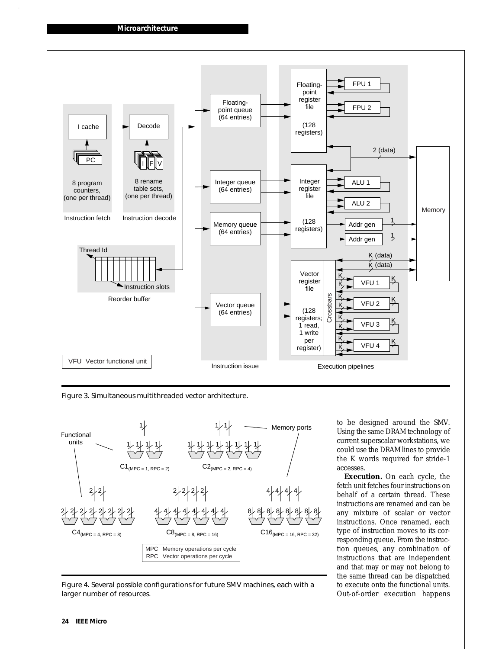

Figure 3. Simultaneous multithreaded vector architecture.



Figure 4. Several possible configurations for future SMV machines, each with a larger number of resources.

to be designed around the SMV. Using the same DRAM technology of current superscalar workstations, we could use the DRAM lines to provide the *K* words required for stride-1 accesses.

**Execution.** On each cycle, the fetch unit fetches four instructions on behalf of a certain thread. These instructions are renamed and can be any mixture of scalar or vector instructions. Once renamed, each type of instruction moves to its corresponding queue. From the instruction queues, any combination of instructions that are independent and that may or may not belong to the same thread can be dispatched to execute onto the functional units. Out-of-order execution happens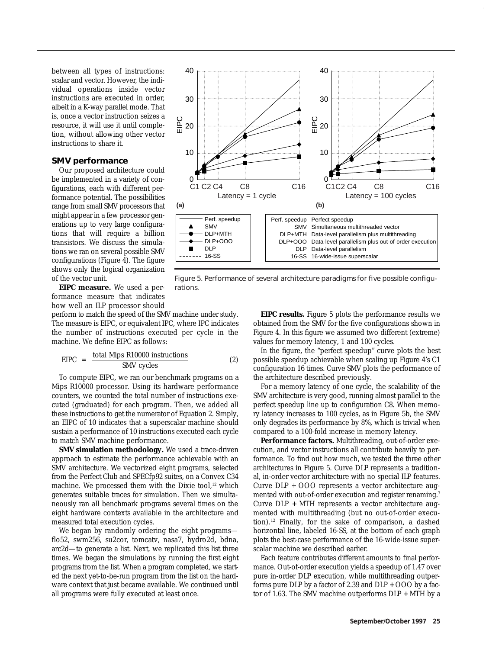between all types of instructions: scalar and vector. However, the individual operations inside vector instructions are executed in order, albeit in a *K*-way parallel mode. That is, once a vector instruction seizes a resource, it will use it until completion, without allowing other vector instructions to share it.

#### **SMV performance**

Our proposed architecture could be implemented in a variety of configurations, each with different performance potential. The possibilities range from small SMV processors that might appear in a few processor generations up to very large configurations that will require a billion transistors. We discuss the simulations we ran on several possible SMV configurations (Figure 4). The figure shows only the logical organization of the vector unit.

**EIPC measure.** We used a performance measure that indicates how well an ILP processor should

perform to match the speed of the SMV machine under study. The measure is EIPC, or equivalent IPC, where IPC indicates the number of instructions executed per cycle in the machine. We define EIPC as follows:

$$
EIPC = \frac{\text{total Mbps R10000 instructions}}{\text{SMV cycles}} \tag{2}
$$

To compute EIPC, we ran our benchmark programs on a Mips R10000 processor. Using its hardware performance counters, we counted the total number of instructions executed (graduated) for each program. Then, we added all these instructions to get the numerator of Equation 2. Simply, an EIPC of 10 indicates that a superscalar machine should sustain a performance of 10 instructions executed each cycle to match SMV machine performance.

**SMV simulation methodology.** We used a trace-driven approach to estimate the performance achievable with an SMV architecture. We vectorized eight programs, selected from the Perfect Club and SPECfp92 suites, on a Convex C34 machine. We processed them with the Dixie tool,<sup>12</sup> which generates suitable traces for simulation. Then we simultaneously ran all benchmark programs several times on the eight hardware contexts available in the architecture and measured total execution cycles.

We began by randomly ordering the eight programs flo52, swm256, su2cor, tomcatv, nasa7, hydro2d, bdna, arc2d—to generate a list. Next, we replicated this list three times. We began the simulations by running the first eight programs from the list. When a program completed, we started the next yet-to-be-run program from the list on the hardware context that just became available. We continued until all programs were fully executed at least once.



Figure 5. Performance of several architecture paradigms for five possible configurations.

**EIPC results.** Figure 5 plots the performance results we obtained from the SMV for the five configurations shown in Figure 4. In this figure we assumed two different (extreme) values for memory latency, 1 and 100 cycles.

In the figure, the "perfect speedup" curve plots the best possible speedup achievable when scaling up Figure 4's C1 configuration 16 times. Curve SMV plots the performance of the architecture described previously.

For a memory latency of one cycle, the scalability of the SMV architecture is very good, running almost parallel to the perfect speedup line up to configuration C8. When memory latency increases to 100 cycles, as in Figure 5b, the SMV only degrades its performance by 8%, which is trivial when compared to a 100-fold increase in memory latency.

Performance factors. Multithreading, out-of-order execution, and vector instructions all contribute heavily to performance. To find out how much, we tested the three other architectures in Figure 5. Curve DLP represents a traditional, in-order vector architecture with no special ILP features. Curve DLP + OOO represents a vector architecture augmented with out-of-order execution and register renaming.<sup>7</sup> Curve DLP + MTH represents a vector architecture augmented with multithreading (but no out-of-order execution).12 Finally, for the sake of comparison, a dashed horizontal line, labeled 16-SS, at the bottom of each graph plots the best-case performance of the 16-wide-issue superscalar machine we described earlier.

Each feature contributes different amounts to final performance. Out-of-order execution yields a speedup of 1.47 over pure in-order DLP execution, while multithreading outperforms pure DLP by a factor of 2.39 and DLP + OOO by a factor of 1.63. The SMV machine outperforms DLP + MTH by a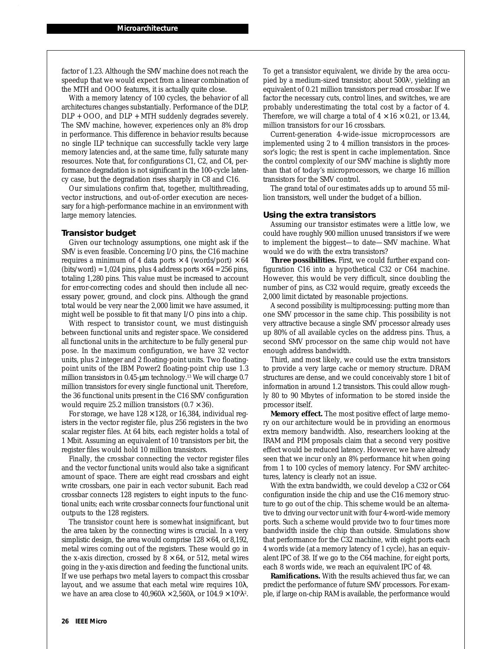factor of 1.23. Although the SMV machine does not reach the speedup that we would expect from a linear combination of the MTH and OOO features, it is actually quite close.

With a memory latency of 100 cycles, the behavior of all architectures changes substantially. Performance of the DLP, DLP + OOO, and DLP + MTH suddenly degrades severely. The SMV machine, however, experiences only an 8% drop in performance. This difference in behavior results because no single ILP technique can successfully tackle very large memory latencies and, at the same time, fully saturate many resources. Note that, for configurations C1, C2, and C4, performance degradation is not significant in the 100-cycle latency case, but the degradation rises sharply in C8 and C16.

Our simulations confirm that, together, multithreading, vector instructions, and out-of-order execution are necessary for a high-performance machine in an environment with large memory latencies.

#### **Transistor budget**

Given our technology assumptions, one might ask if the SMV is even feasible. Concerning I/O pins, the C16 machine requires a minimum of 4 data ports  $\times$  4 (words/port)  $\times$  64  $(bits/word) = 1,024 \text{ pins}, \text{plus 4 address ports} \times 64 = 256 \text{ pins},$ totaling 1,280 pins. This value must be increased to account for error-correcting codes and should then include all necessary power, ground, and clock pins. Although the grand total would be very near the 2,000 limit we have assumed, it might well be possible to fit that many I/O pins into a chip.

With respect to transistor count, we must distinguish between functional units and register space. We considered all functional units in the architecture to be fully general purpose. In the maximum configuration, we have 32 vector units, plus 2 integer and 2 floating-point units. Two floatingpoint units of the IBM Power2 floating-point chip use 1.3 million transistors in 0.45-µm technology.<sup>13</sup> We will charge 0.7 million transistors for every single functional unit. Therefore, the 36 functional units present in the C16 SMV configuration would require 25.2 million transistors  $(0.7 \times 36)$ .

For storage, we have  $128 \times 128$ , or 16,384, individual registers in the vector register file, plus 256 registers in the two scalar register files. At 64 bits, each register holds a total of 1 Mbit. Assuming an equivalent of 10 transistors per bit, the register files would hold 10 million transistors.

Finally, the crossbar connecting the vector register files and the vector functional units would also take a significant amount of space. There are eight read crossbars and eight write crossbars, one pair in each vector subunit. Each read crossbar connects 128 registers to eight inputs to the functional units; each write crossbar connects four functional unit outputs to the 128 registers.

The transistor count here is somewhat insignificant, but the area taken by the connecting wires is crucial. In a very simplistic design, the area would comprise  $128 \times 64$ , or 8,192, metal wires coming out of the registers. These would go in the *x*-axis direction, crossed by  $8 \times 64$ , or 512, metal wires going in the *y*-axis direction and feeding the functional units. If we use perhaps two metal layers to compact this crossbar layout, and we assume that each metal wire requires 10λ, we have an area close to 40,960λ  $\times$  2,560λ, or 104.9  $\times$  10 $^{\rm 6}$ λ $^{\rm 2}.$  To get a transistor equivalent, we divide by the area occupied by a medium-sized transistor, about 500 $\lambda$ ?, yielding an equivalent of 0.21 million transistors per read crossbar. If we factor the necessary cuts, control lines, and switches, we are probably underestimating the total cost by a factor of 4. Therefore, we will charge a total of  $4 \times 16 \times 0.21$ , or 13.44, million transistors for our 16 crossbars.

Current-generation 4-wide-issue microprocessors are implemented using 2 to 4 million transistors in the processor's logic; the rest is spent in cache implementation. Since the control complexity of our SMV machine is slightly more than that of today's microprocessors, we charge 16 million transistors for the SMV control.

The grand total of our estimates adds up to around 55 million transistors, well under the budget of a billion.

#### **Using the extra transistors**

Assuming our transistor estimates were a little low, we could have roughly 900 million unused transistors if we were to implement the biggest—to date—SMV machine. What would we do with the extra transistors?

**Three possibilities.** First, we could further expand configuration C16 into a hypothetical C32 or C64 machine. However, this would be very difficult, since doubling the number of pins, as C32 would require, greatly exceeds the 2,000 limit dictated by reasonable projections.

A second possibility is multiprocessing: putting more than one SMV processor in the same chip. This possibility is not very attractive because a single SMV processor already uses up 80% of all available cycles on the address pins. Thus, a second SMV processor on the same chip would not have enough address bandwidth.

Third, and most likely, we could use the extra transistors to provide a very large cache or memory structure. DRAM structures are dense, and we could conceivably store 1 bit of information in around 1.2 transistors. This could allow roughly 80 to 90 Mbytes of information to be stored inside the processor itself.

**Memory effect.** The most positive effect of large memory on our architecture would be in providing an enormous extra memory bandwidth. Also, researchers looking at the IRAM and PIM proposals claim that a second very positive effect would be reduced latency. However, we have already seen that we incur only an 8% performance hit when going from 1 to 100 cycles of memory latency. For SMV architectures, latency is clearly not an issue.

With the extra bandwidth, we could develop a C32 or C64 configuration inside the chip and use the C16 memory structure to go out of the chip. This scheme would be an alternative to driving our vector unit with four 4-word-wide memory ports. Such a scheme would provide two to four times more bandwidth inside the chip than outside. Simulations show that performance for the C32 machine, with eight ports each 4 words wide (at a memory latency of 1 cycle), has an equivalent IPC of 38. If we go to the C64 machine, for eight ports, each 8 words wide, we reach an equivalent IPC of 48.

**Ramifications.** With the results achieved thus far, we can predict the performance of future SMV processors. For example, if large on-chip RAM is available, the performance would